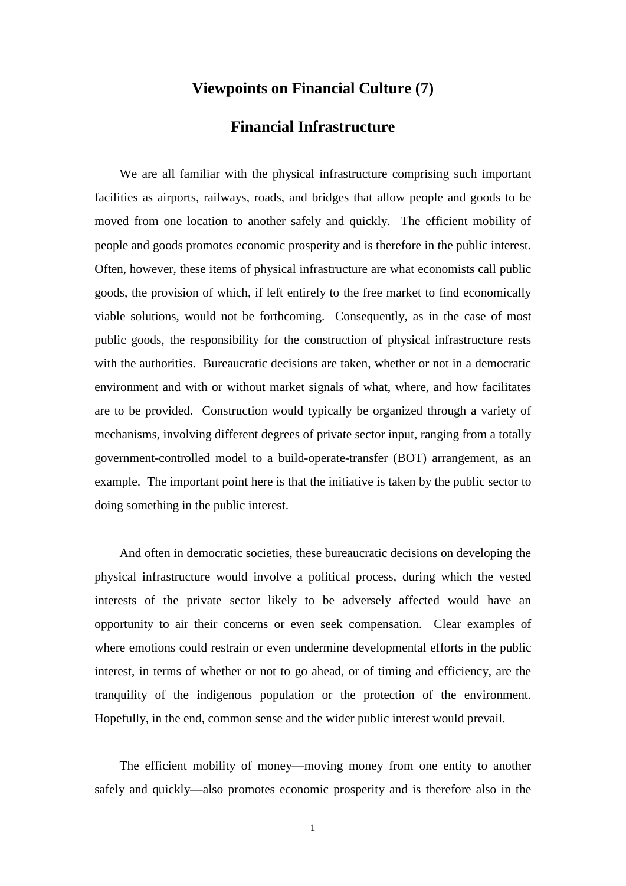## **Viewpoints on Financial Culture (7)**

## **Financial Infrastructure**

We are all familiar with the physical infrastructure comprising such important facilities as airports, railways, roads, and bridges that allow people and goods to be moved from one location to another safely and quickly. The efficient mobility of people and goods promotes economic prosperity and is therefore in the public interest. Often, however, these items of physical infrastructure are what economists call public goods, the provision of which, if left entirely to the free market to find economically viable solutions, would not be forthcoming. Consequently, as in the case of most public goods, the responsibility for the construction of physical infrastructure rests with the authorities. Bureaucratic decisions are taken, whether or not in a democratic environment and with or without market signals of what, where, and how facilitates are to be provided. Construction would typically be organized through a variety of mechanisms, involving different degrees of private sector input, ranging from a totally government-controlled model to a build-operate-transfer (BOT) arrangement, as an example. The important point here is that the initiative is taken by the public sector to doing something in the public interest.

And often in democratic societies, these bureaucratic decisions on developing the physical infrastructure would involve a political process, during which the vested interests of the private sector likely to be adversely affected would have an opportunity to air their concerns or even seek compensation. Clear examples of where emotions could restrain or even undermine developmental efforts in the public interest, in terms of whether or not to go ahead, or of timing and efficiency, are the tranquility of the indigenous population or the protection of the environment. Hopefully, in the end, common sense and the wider public interest would prevail.

The efficient mobility of money—moving money from one entity to another safely and quickly—also promotes economic prosperity and is therefore also in the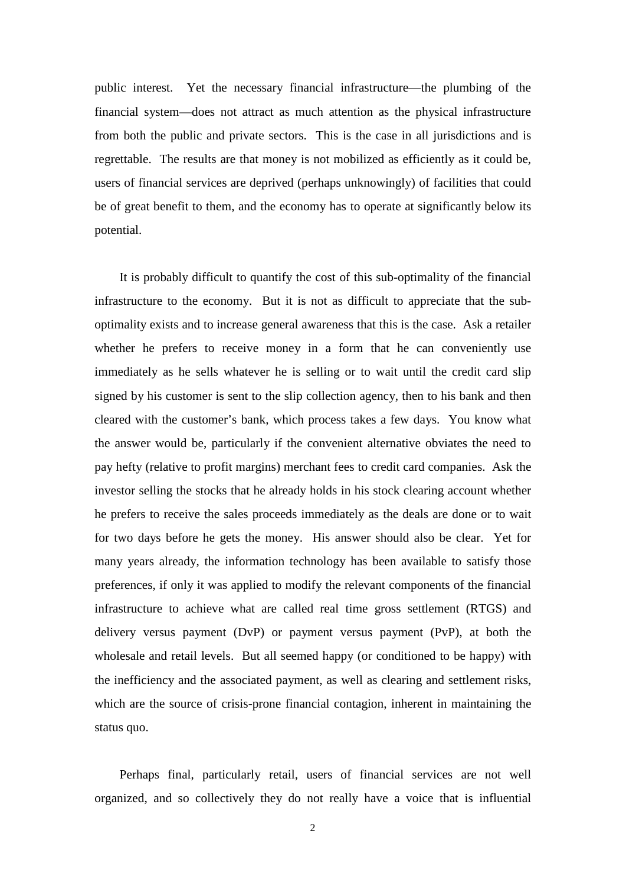public interest. Yet the necessary financial infrastructure—the plumbing of the financial system—does not attract as much attention as the physical infrastructure from both the public and private sectors. This is the case in all jurisdictions and is regrettable. The results are that money is not mobilized as efficiently as it could be, users of financial services are deprived (perhaps unknowingly) of facilities that could be of great benefit to them, and the economy has to operate at significantly below its potential.

It is probably difficult to quantify the cost of this sub-optimality of the financial infrastructure to the economy. But it is not as difficult to appreciate that the suboptimality exists and to increase general awareness that this is the case. Ask a retailer whether he prefers to receive money in a form that he can conveniently use immediately as he sells whatever he is selling or to wait until the credit card slip signed by his customer is sent to the slip collection agency, then to his bank and then cleared with the customer's bank, which process takes a few days. You know what the answer would be, particularly if the convenient alternative obviates the need to pay hefty (relative to profit margins) merchant fees to credit card companies. Ask the investor selling the stocks that he already holds in his stock clearing account whether he prefers to receive the sales proceeds immediately as the deals are done or to wait for two days before he gets the money. His answer should also be clear. Yet for many years already, the information technology has been available to satisfy those preferences, if only it was applied to modify the relevant components of the financial infrastructure to achieve what are called real time gross settlement (RTGS) and delivery versus payment (DvP) or payment versus payment (PvP), at both the wholesale and retail levels. But all seemed happy (or conditioned to be happy) with the inefficiency and the associated payment, as well as clearing and settlement risks, which are the source of crisis-prone financial contagion, inherent in maintaining the status quo.

Perhaps final, particularly retail, users of financial services are not well organized, and so collectively they do not really have a voice that is influential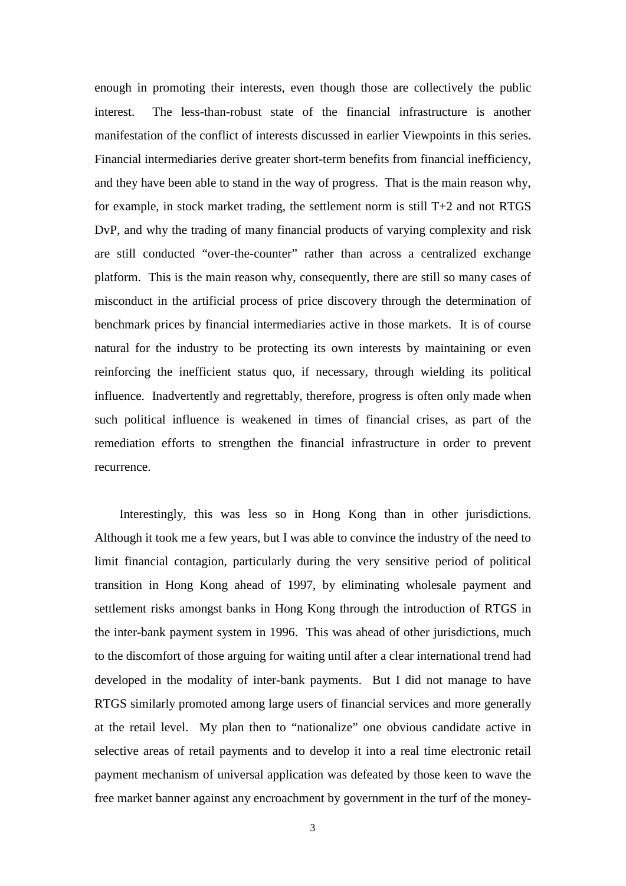enough in promoting their interests, even though those are collectively the public interest. The less-than-robust state of the financial infrastructure is another manifestation of the conflict of interests discussed in earlier Viewpoints in this series. Financial intermediaries derive greater short-term benefits from financial inefficiency, and they have been able to stand in the way of progress. That is the main reason why, for example, in stock market trading, the settlement norm is still T+2 and not RTGS DvP, and why the trading of many financial products of varying complexity and risk are still conducted "over-the-counter" rather than across a centralized exchange platform. This is the main reason why, consequently, there are still so many cases of misconduct in the artificial process of price discovery through the determination of benchmark prices by financial intermediaries active in those markets. It is of course natural for the industry to be protecting its own interests by maintaining or even reinforcing the inefficient status quo, if necessary, through wielding its political influence. Inadvertently and regrettably, therefore, progress is often only made when such political influence is weakened in times of financial crises, as part of the remediation efforts to strengthen the financial infrastructure in order to prevent recurrence.

Interestingly, this was less so in Hong Kong than in other jurisdictions. Although it took me a few years, but I was able to convince the industry of the need to limit financial contagion, particularly during the very sensitive period of political transition in Hong Kong ahead of 1997, by eliminating wholesale payment and settlement risks amongst banks in Hong Kong through the introduction of RTGS in the inter-bank payment system in 1996. This was ahead of other jurisdictions, much to the discomfort of those arguing for waiting until after a clear international trend had developed in the modality of inter-bank payments. But I did not manage to have RTGS similarly promoted among large users of financial services and more generally at the retail level. My plan then to "nationalize" one obvious candidate active in selective areas of retail payments and to develop it into a real time electronic retail payment mechanism of universal application was defeated by those keen to wave the free market banner against any encroachment by government in the turf of the money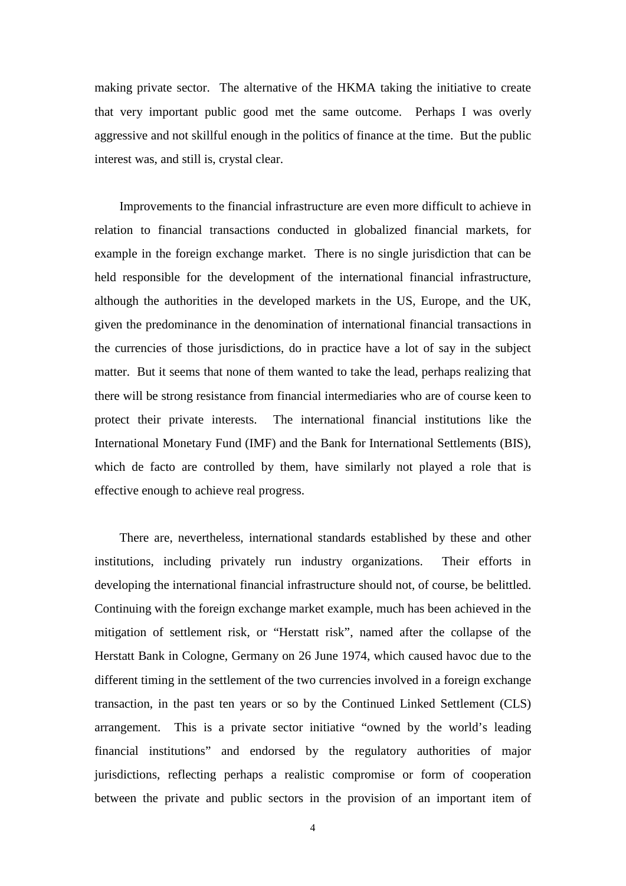making private sector. The alternative of the HKMA taking the initiative to create that very important public good met the same outcome. Perhaps I was overly aggressive and not skillful enough in the politics of finance at the time. But the public interest was, and still is, crystal clear.

Improvements to the financial infrastructure are even more difficult to achieve in relation to financial transactions conducted in globalized financial markets, for example in the foreign exchange market. There is no single jurisdiction that can be held responsible for the development of the international financial infrastructure, although the authorities in the developed markets in the US, Europe, and the UK, given the predominance in the denomination of international financial transactions in the currencies of those jurisdictions, do in practice have a lot of say in the subject matter. But it seems that none of them wanted to take the lead, perhaps realizing that there will be strong resistance from financial intermediaries who are of course keen to protect their private interests. The international financial institutions like the International Monetary Fund (IMF) and the Bank for International Settlements (BIS), which de facto are controlled by them, have similarly not played a role that is effective enough to achieve real progress.

There are, nevertheless, international standards established by these and other institutions, including privately run industry organizations. Their efforts in developing the international financial infrastructure should not, of course, be belittled. Continuing with the foreign exchange market example, much has been achieved in the mitigation of settlement risk, or "Herstatt risk", named after the collapse of the Herstatt Bank in Cologne, Germany on 26 June 1974, which caused havoc due to the different timing in the settlement of the two currencies involved in a foreign exchange transaction, in the past ten years or so by the Continued Linked Settlement (CLS) arrangement. This is a private sector initiative "owned by the world's leading financial institutions" and endorsed by the regulatory authorities of major jurisdictions, reflecting perhaps a realistic compromise or form of cooperation between the private and public sectors in the provision of an important item of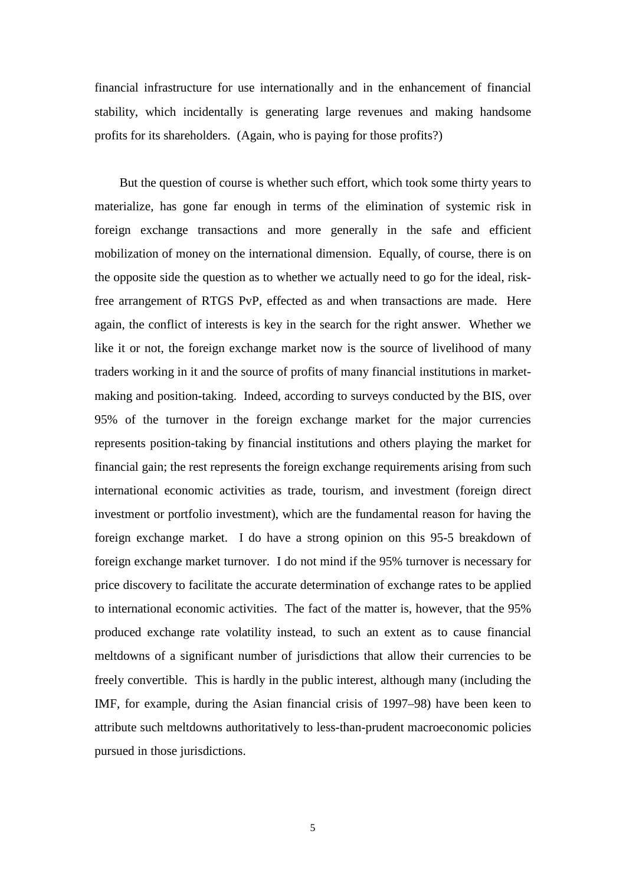financial infrastructure for use internationally and in the enhancement of financial stability, which incidentally is generating large revenues and making handsome profits for its shareholders. (Again, who is paying for those profits?)

But the question of course is whether such effort, which took some thirty years to materialize, has gone far enough in terms of the elimination of systemic risk in foreign exchange transactions and more generally in the safe and efficient mobilization of money on the international dimension. Equally, of course, there is on the opposite side the question as to whether we actually need to go for the ideal, riskfree arrangement of RTGS PvP, effected as and when transactions are made. Here again, the conflict of interests is key in the search for the right answer. Whether we like it or not, the foreign exchange market now is the source of livelihood of many traders working in it and the source of profits of many financial institutions in marketmaking and position-taking. Indeed, according to surveys conducted by the BIS, over 95% of the turnover in the foreign exchange market for the major currencies represents position-taking by financial institutions and others playing the market for financial gain; the rest represents the foreign exchange requirements arising from such international economic activities as trade, tourism, and investment (foreign direct investment or portfolio investment), which are the fundamental reason for having the foreign exchange market. I do have a strong opinion on this 95-5 breakdown of foreign exchange market turnover. I do not mind if the 95% turnover is necessary for price discovery to facilitate the accurate determination of exchange rates to be applied to international economic activities. The fact of the matter is, however, that the 95% produced exchange rate volatility instead, to such an extent as to cause financial meltdowns of a significant number of jurisdictions that allow their currencies to be freely convertible. This is hardly in the public interest, although many (including the IMF, for example, during the Asian financial crisis of 1997–98) have been keen to attribute such meltdowns authoritatively to less-than-prudent macroeconomic policies pursued in those jurisdictions.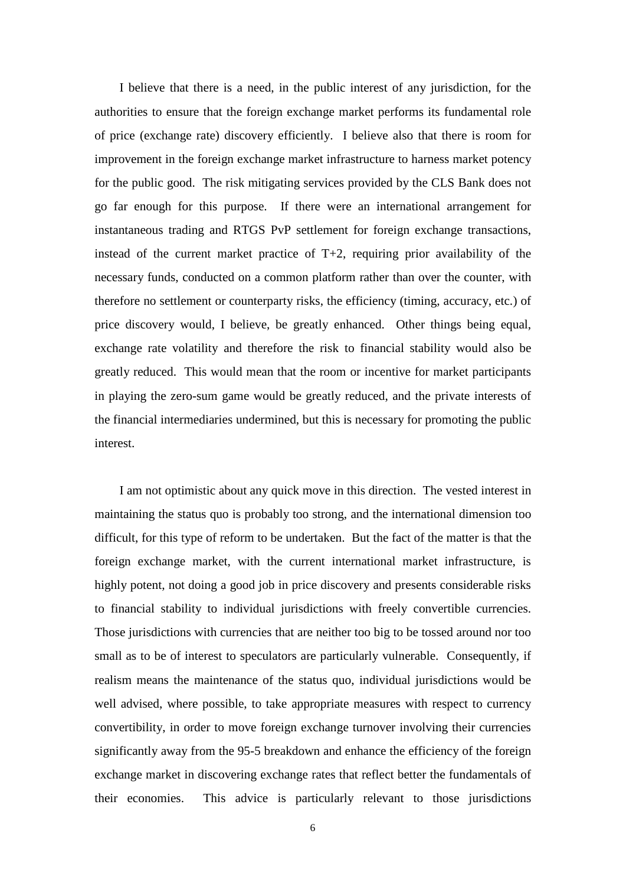I believe that there is a need, in the public interest of any jurisdiction, for the authorities to ensure that the foreign exchange market performs its fundamental role of price (exchange rate) discovery efficiently. I believe also that there is room for improvement in the foreign exchange market infrastructure to harness market potency for the public good. The risk mitigating services provided by the CLS Bank does not go far enough for this purpose. If there were an international arrangement for instantaneous trading and RTGS PvP settlement for foreign exchange transactions, instead of the current market practice of  $T+2$ , requiring prior availability of the necessary funds, conducted on a common platform rather than over the counter, with therefore no settlement or counterparty risks, the efficiency (timing, accuracy, etc.) of price discovery would, I believe, be greatly enhanced. Other things being equal, exchange rate volatility and therefore the risk to financial stability would also be greatly reduced. This would mean that the room or incentive for market participants in playing the zero-sum game would be greatly reduced, and the private interests of the financial intermediaries undermined, but this is necessary for promoting the public interest.

I am not optimistic about any quick move in this direction. The vested interest in maintaining the status quo is probably too strong, and the international dimension too difficult, for this type of reform to be undertaken. But the fact of the matter is that the foreign exchange market, with the current international market infrastructure, is highly potent, not doing a good job in price discovery and presents considerable risks to financial stability to individual jurisdictions with freely convertible currencies. Those jurisdictions with currencies that are neither too big to be tossed around nor too small as to be of interest to speculators are particularly vulnerable. Consequently, if realism means the maintenance of the status quo, individual jurisdictions would be well advised, where possible, to take appropriate measures with respect to currency convertibility, in order to move foreign exchange turnover involving their currencies significantly away from the 95-5 breakdown and enhance the efficiency of the foreign exchange market in discovering exchange rates that reflect better the fundamentals of their economies. This advice is particularly relevant to those jurisdictions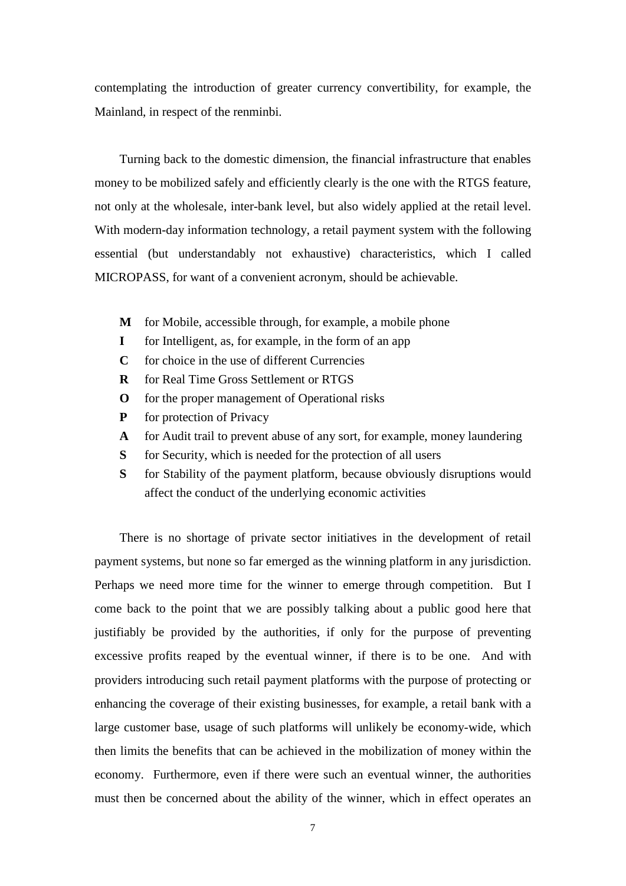contemplating the introduction of greater currency convertibility, for example, the Mainland, in respect of the renminbi.

Turning back to the domestic dimension, the financial infrastructure that enables money to be mobilized safely and efficiently clearly is the one with the RTGS feature, not only at the wholesale, inter-bank level, but also widely applied at the retail level. With modern-day information technology, a retail payment system with the following essential (but understandably not exhaustive) characteristics, which I called MICROPASS, for want of a convenient acronym, should be achievable.

- **M** for Mobile, accessible through, for example, a mobile phone
- **I** for Intelligent, as, for example, in the form of an app
- **C** for choice in the use of different Currencies
- **R** for Real Time Gross Settlement or RTGS
- **O** for the proper management of Operational risks
- **P** for protection of Privacy
- **A** for Audit trail to prevent abuse of any sort, for example, money laundering
- **S** for Security, which is needed for the protection of all users
- **S** for Stability of the payment platform, because obviously disruptions would affect the conduct of the underlying economic activities

There is no shortage of private sector initiatives in the development of retail payment systems, but none so far emerged as the winning platform in any jurisdiction. Perhaps we need more time for the winner to emerge through competition. But I come back to the point that we are possibly talking about a public good here that justifiably be provided by the authorities, if only for the purpose of preventing excessive profits reaped by the eventual winner, if there is to be one. And with providers introducing such retail payment platforms with the purpose of protecting or enhancing the coverage of their existing businesses, for example, a retail bank with a large customer base, usage of such platforms will unlikely be economy-wide, which then limits the benefits that can be achieved in the mobilization of money within the economy. Furthermore, even if there were such an eventual winner, the authorities must then be concerned about the ability of the winner, which in effect operates an